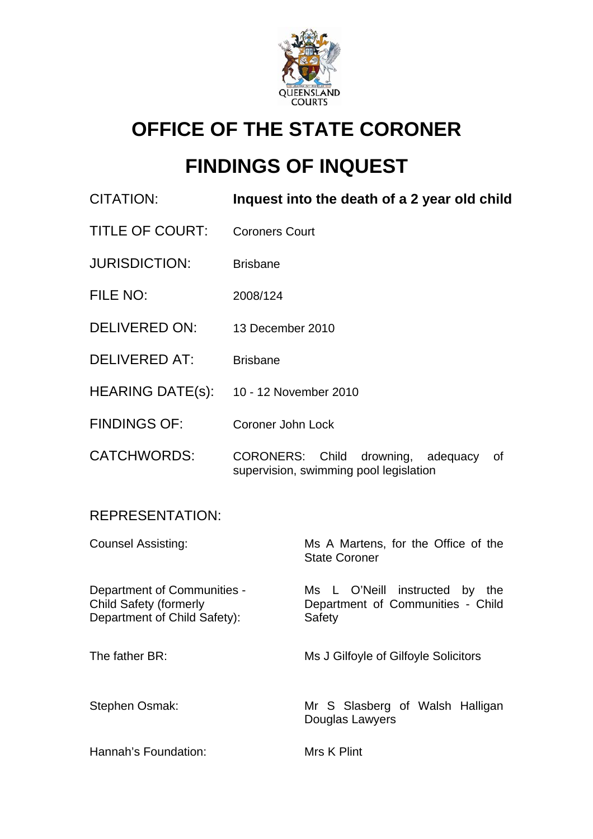

# **OFFICE OF THE STATE CORONER**

# **FINDINGS OF INQUEST**

| <b>CITATION:</b>                                                                             | Inquest into the death of a 2 year old child                                          |                                                                               |
|----------------------------------------------------------------------------------------------|---------------------------------------------------------------------------------------|-------------------------------------------------------------------------------|
| <b>TITLE OF COURT:</b>                                                                       | <b>Coroners Court</b>                                                                 |                                                                               |
| <b>JURISDICTION:</b>                                                                         | <b>Brisbane</b>                                                                       |                                                                               |
| FILE NO:                                                                                     | 2008/124                                                                              |                                                                               |
| <b>DELIVERED ON:</b>                                                                         | 13 December 2010                                                                      |                                                                               |
| <b>DELIVERED AT:</b>                                                                         | <b>Brisbane</b>                                                                       |                                                                               |
| HEARING DATE(s):                                                                             | 10 - 12 November 2010                                                                 |                                                                               |
| <b>FINDINGS OF:</b>                                                                          | Coroner John Lock                                                                     |                                                                               |
| <b>CATCHWORDS:</b>                                                                           | CORONERS: Child<br>drowning, adequacy<br>0f<br>supervision, swimming pool legislation |                                                                               |
| <b>REPRESENTATION:</b>                                                                       |                                                                                       |                                                                               |
| <b>Counsel Assisting:</b>                                                                    |                                                                                       | Ms A Martens, for the Office of the<br><b>State Coroner</b>                   |
| Department of Communities -<br><b>Child Safety (formerly</b><br>Department of Child Safety): |                                                                                       | Ms L O'Neill instructed by the<br>Department of Communities - Child<br>Safety |
| The father BR:                                                                               |                                                                                       | Ms J Gilfoyle of Gilfoyle Solicitors                                          |
| Stephen Osmak:                                                                               |                                                                                       | Mr S Slasberg of Walsh Halligan<br>Douglas Lawyers                            |
| Hannah's Foundation:                                                                         |                                                                                       | Mrs K Plint                                                                   |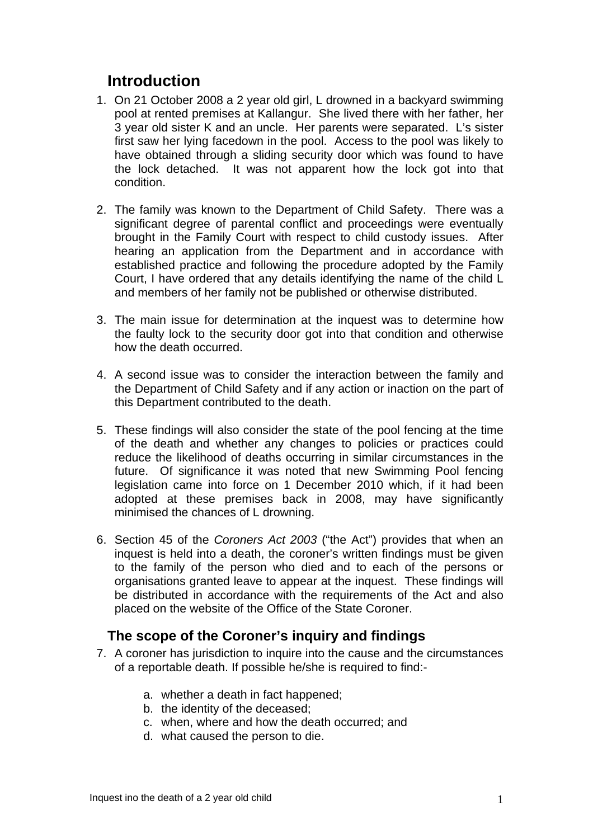# **Introduction**

- 1. On 21 October 2008 a 2 year old girl, L drowned in a backyard swimming pool at rented premises at Kallangur. She lived there with her father, her 3 year old sister K and an uncle. Her parents were separated. L's sister first saw her lying facedown in the pool. Access to the pool was likely to have obtained through a sliding security door which was found to have the lock detached. It was not apparent how the lock got into that condition.
- 2. The family was known to the Department of Child Safety. There was a significant degree of parental conflict and proceedings were eventually brought in the Family Court with respect to child custody issues. After hearing an application from the Department and in accordance with established practice and following the procedure adopted by the Family Court, I have ordered that any details identifying the name of the child L and members of her family not be published or otherwise distributed.
- 3. The main issue for determination at the inquest was to determine how the faulty lock to the security door got into that condition and otherwise how the death occurred.
- 4. A second issue was to consider the interaction between the family and the Department of Child Safety and if any action or inaction on the part of this Department contributed to the death.
- 5. These findings will also consider the state of the pool fencing at the time of the death and whether any changes to policies or practices could reduce the likelihood of deaths occurring in similar circumstances in the future. Of significance it was noted that new Swimming Pool fencing legislation came into force on 1 December 2010 which, if it had been adopted at these premises back in 2008, may have significantly minimised the chances of L drowning.
- 6. Section 45 of the *Coroners Act 2003* ("the Act") provides that when an inquest is held into a death, the coroner's written findings must be given to the family of the person who died and to each of the persons or organisations granted leave to appear at the inquest. These findings will be distributed in accordance with the requirements of the Act and also placed on the website of the Office of the State Coroner.

# **The scope of the Coroner's inquiry and findings**

- 7. A coroner has jurisdiction to inquire into the cause and the circumstances of a reportable death. If possible he/she is required to find:
	- a. whether a death in fact happened;
	- b. the identity of the deceased;
	- c. when, where and how the death occurred; and
	- d. what caused the person to die.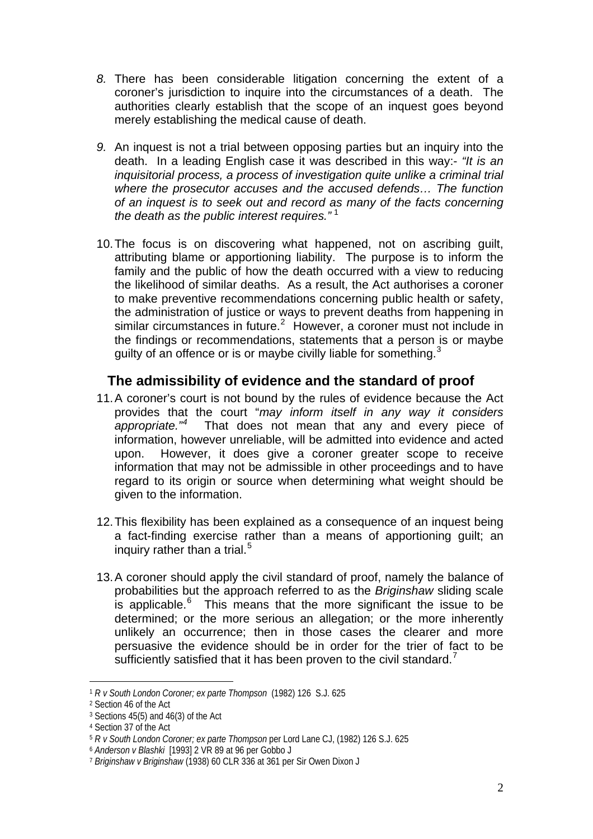- *8.* There has been considerable litigation concerning the extent of a coroner's jurisdiction to inquire into the circumstances of a death. The authorities clearly establish that the scope of an inquest goes beyond merely establishing the medical cause of death.
- *9.* An inquest is not a trial between opposing parties but an inquiry into the death. In a leading English case it was described in this way:- *"It is an inquisitorial process, a process of investigation quite unlike a criminal trial where the prosecutor accuses and the accused defends… The function of an inquest is to seek out and record as many of the facts concerning the death as the public interest requires."* [1](#page-2-0)
- 10. The focus is on discovering what happened, not on ascribing guilt, attributing blame or apportioning liability. The purpose is to inform the family and the public of how the death occurred with a view to reducing the likelihood of similar deaths. As a result, the Act authorises a coroner to make preventive recommendations concerning public health or safety, the administration of justice or ways to prevent deaths from happening in similar circumstances in future.<sup>[2](#page-2-1)</sup> However, a coroner must not include in the findings or recommendations, statements that a person is or maybe guilty of an offence or is or maybe civilly liable for something.  $3$

## **The admissibility of evidence and the standard of proof**

- 11. A coroner's court is not bound by the rules of evidence because the Act provides that the court "*may inform itself in any way it considers appropriate."[4](#page-2-3)* That does not mean that any and every piece of information, however unreliable, will be admitted into evidence and acted upon. However, it does give a coroner greater scope to receive information that may not be admissible in other proceedings and to have regard to its origin or source when determining what weight should be given to the information.
- 12. This flexibility has been explained as a consequence of an inquest being a fact-finding exercise rather than a means of apportioning guilt; an inquiry rather than a trial. $5$
- 13. A coroner should apply the civil standard of proof, namely the balance of probabilities but the approach referred to as the *Briginshaw* sliding scale is applicable. $6$  This means that the more significant the issue to be determined; or the more serious an allegation; or the more inherently unlikely an occurrence; then in those cases the clearer and more persuasive the evidence should be in order for the trier of fact to be sufficiently satisfied that it has been proven to the civil standard.<sup>[7](#page-2-6)</sup>

<span id="page-2-0"></span><sup>1</sup> *R v South London Coroner; ex parte Thompson* (1982) 126 S.J. 625

<span id="page-2-1"></span><sup>2</sup> Section 46 of the Act

<span id="page-2-2"></span><sup>3</sup> Sections 45(5) and 46(3) of the Act

<span id="page-2-3"></span><sup>4</sup> Section 37 of the Act

<span id="page-2-4"></span><sup>5</sup> *R v South London Coroner; ex parte Thompson* per Lord Lane CJ, (1982) 126 S.J. 625

<span id="page-2-5"></span><sup>6</sup> *Anderson v Blashki* [1993] 2 VR 89 at 96 per Gobbo J

<span id="page-2-6"></span><sup>7</sup> *Briginshaw v Briginshaw* (1938) 60 CLR 336 at 361 per Sir Owen Dixon J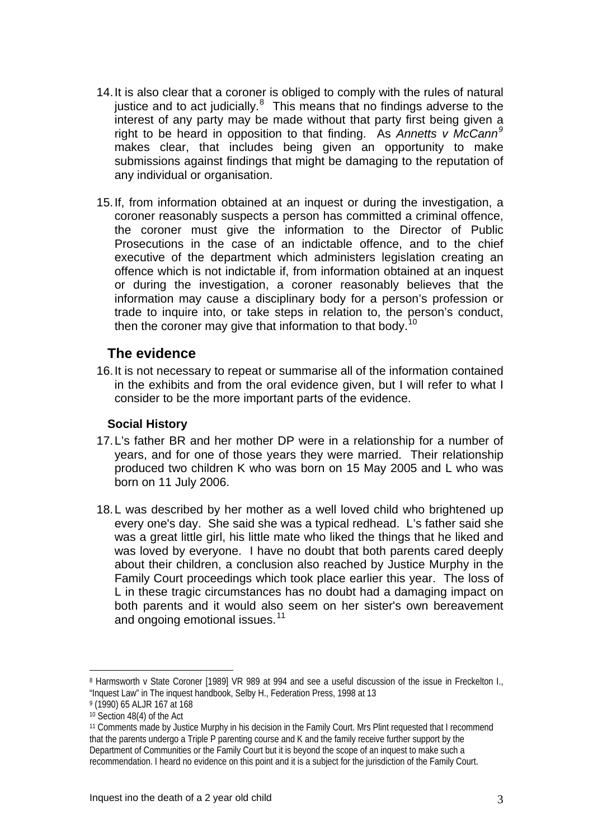- 14. It is also clear that a coroner is obliged to comply with the rules of natural justice and to act judicially. $8$  This means that no findings adverse to the interest of any party may be made without that party first being given a right to be heard in opposition to that finding. As *Annetts v McCann[9](#page-3-1)* makes clear, that includes being given an opportunity to make submissions against findings that might be damaging to the reputation of any individual or organisation.
- 15. If, from information obtained at an inquest or during the investigation, a coroner reasonably suspects a person has committed a criminal offence, the coroner must give the information to the Director of Public Prosecutions in the case of an indictable offence, and to the chief executive of the department which administers legislation creating an offence which is not indictable if, from information obtained at an inquest or during the investigation, a coroner reasonably believes that the information may cause a disciplinary body for a person's profession or trade to inquire into, or take steps in relation to, the person's conduct, then the coroner may give that information to that body.<sup>[10](#page-3-2)</sup>

### **The evidence**

16. It is not necessary to repeat or summarise all of the information contained in the exhibits and from the oral evidence given, but I will refer to what I consider to be the more important parts of the evidence.

#### **Social History**

- 17. L's father BR and her mother DP were in a relationship for a number of years, and for one of those years they were married. Their relationship produced two children K who was born on 15 May 2005 and L who was born on 11 July 2006.
- 18. L was described by her mother as a well loved child who brightened up every one's day. She said she was a typical redhead. L's father said she was a great little girl, his little mate who liked the things that he liked and was loved by everyone. I have no doubt that both parents cared deeply about their children, a conclusion also reached by Justice Murphy in the Family Court proceedings which took place earlier this year. The loss of L in these tragic circumstances has no doubt had a damaging impact on both parents and it would also seem on her sister's own bereavement and ongoing emotional issues.<sup>[11](#page-3-3)</sup>

<span id="page-3-0"></span><sup>8</sup> Harmsworth v State Coroner [1989] VR 989 at 994 and see a useful discussion of the issue in Freckelton I., "Inquest Law" in The inquest handbook, Selby H., Federation Press, 1998 at 13

<span id="page-3-2"></span><span id="page-3-1"></span><sup>9 (1990) 65</sup> ALJR 167 at 168

<sup>10</sup> Section 48(4) of the Act

<span id="page-3-3"></span><sup>11</sup> Comments made by Justice Murphy in his decision in the Family Court. Mrs Plint requested that I recommend that the parents undergo a Triple P parenting course and K and the family receive further support by the Department of Communities or the Family Court but it is beyond the scope of an inquest to make such a recommendation. I heard no evidence on this point and it is a subject for the jurisdiction of the Family Court.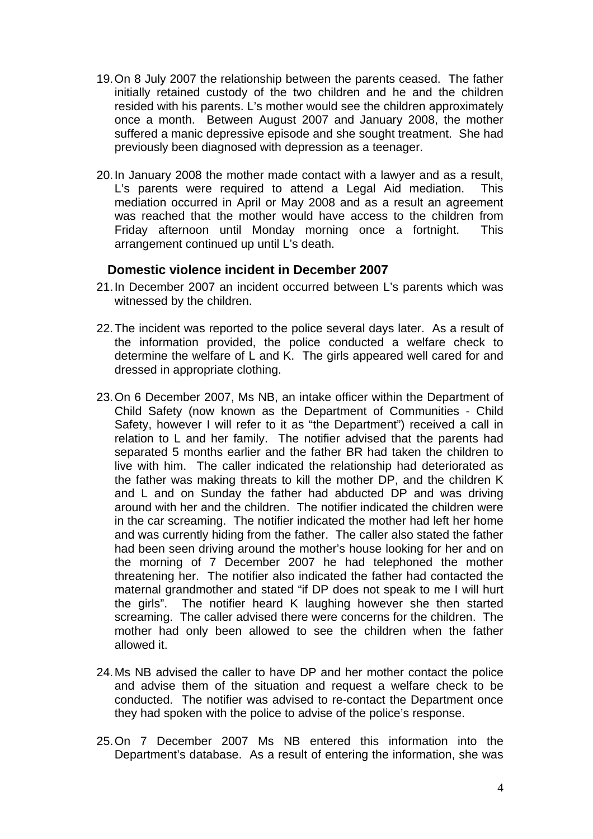- 19. On 8 July 2007 the relationship between the parents ceased. The father initially retained custody of the two children and he and the children resided with his parents. L's mother would see the children approximately once a month. Between August 2007 and January 2008, the mother suffered a manic depressive episode and she sought treatment. She had previously been diagnosed with depression as a teenager.
- 20. In January 2008 the mother made contact with a lawyer and as a result, L's parents were required to attend a Legal Aid mediation. This mediation occurred in April or May 2008 and as a result an agreement was reached that the mother would have access to the children from Friday afternoon until Monday morning once a fortnight. This arrangement continued up until L's death.

#### **Domestic violence incident in December 2007**

- 21. In December 2007 an incident occurred between L's parents which was witnessed by the children.
- 22. The incident was reported to the police several days later. As a result of the information provided, the police conducted a welfare check to determine the welfare of L and K. The girls appeared well cared for and dressed in appropriate clothing.
- 23. On 6 December 2007, Ms NB, an intake officer within the Department of Child Safety (now known as the Department of Communities - Child Safety, however I will refer to it as "the Department") received a call in relation to L and her family. The notifier advised that the parents had separated 5 months earlier and the father BR had taken the children to live with him. The caller indicated the relationship had deteriorated as the father was making threats to kill the mother DP, and the children K and L and on Sunday the father had abducted DP and was driving around with her and the children. The notifier indicated the children were in the car screaming. The notifier indicated the mother had left her home and was currently hiding from the father. The caller also stated the father had been seen driving around the mother's house looking for her and on the morning of 7 December 2007 he had telephoned the mother threatening her. The notifier also indicated the father had contacted the maternal grandmother and stated "if DP does not speak to me I will hurt the girls". The notifier heard K laughing however she then started screaming. The caller advised there were concerns for the children. The mother had only been allowed to see the children when the father allowed it.
- 24. Ms NB advised the caller to have DP and her mother contact the police and advise them of the situation and request a welfare check to be conducted. The notifier was advised to re-contact the Department once they had spoken with the police to advise of the police's response.
- 25. On 7 December 2007 Ms NB entered this information into the Department's database. As a result of entering the information, she was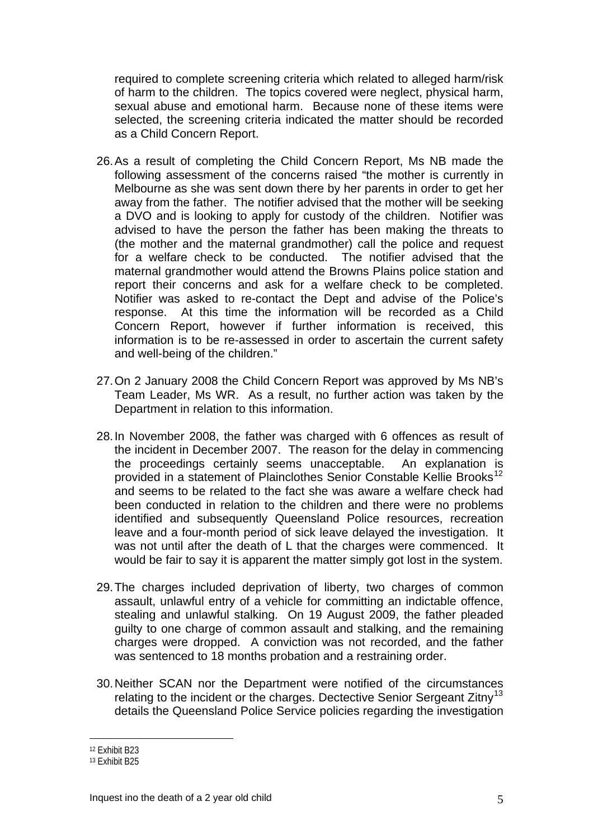required to complete screening criteria which related to alleged harm/risk of harm to the children. The topics covered were neglect, physical harm, sexual abuse and emotional harm. Because none of these items were selected, the screening criteria indicated the matter should be recorded as a Child Concern Report.

- 26. As a result of completing the Child Concern Report, Ms NB made the following assessment of the concerns raised "the mother is currently in Melbourne as she was sent down there by her parents in order to get her away from the father. The notifier advised that the mother will be seeking a DVO and is looking to apply for custody of the children. Notifier was advised to have the person the father has been making the threats to (the mother and the maternal grandmother) call the police and request for a welfare check to be conducted. The notifier advised that the maternal grandmother would attend the Browns Plains police station and report their concerns and ask for a welfare check to be completed. Notifier was asked to re-contact the Dept and advise of the Police's response. At this time the information will be recorded as a Child Concern Report, however if further information is received, this information is to be re-assessed in order to ascertain the current safety and well-being of the children."
- 27. On 2 January 2008 the Child Concern Report was approved by Ms NB's Team Leader, Ms WR. As a result, no further action was taken by the Department in relation to this information.
- 28. In November 2008, the father was charged with 6 offences as result of the incident in December 2007. The reason for the delay in commencing the proceedings certainly seems unacceptable. An explanation is provided in a statement of Plainclothes Senior Constable Kellie Brooks<sup>[12](#page-5-0)</sup> and seems to be related to the fact she was aware a welfare check had been conducted in relation to the children and there were no problems identified and subsequently Queensland Police resources, recreation leave and a four-month period of sick leave delayed the investigation. It was not until after the death of L that the charges were commenced. It would be fair to say it is apparent the matter simply got lost in the system.
- 29. The charges included deprivation of liberty, two charges of common assault, unlawful entry of a vehicle for committing an indictable offence, stealing and unlawful stalking. On 19 August 2009, the father pleaded guilty to one charge of common assault and stalking, and the remaining charges were dropped. A conviction was not recorded, and the father was sentenced to 18 months probation and a restraining order.
- 30. Neither SCAN nor the Department were notified of the circumstances relating to the incident or the charges. Dectective Senior Sergeant Zitny<sup>[13](#page-5-1)</sup> details the Queensland Police Service policies regarding the investigation

<span id="page-5-0"></span><sup>12</sup> Exhibit B23

<span id="page-5-1"></span><sup>13</sup> Exhibit B25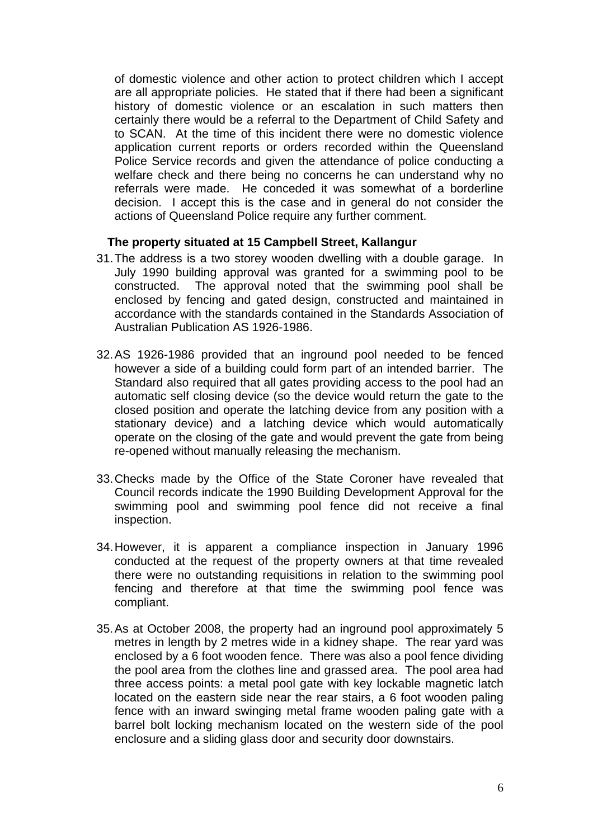of domestic violence and other action to protect children which I accept are all appropriate policies. He stated that if there had been a significant history of domestic violence or an escalation in such matters then certainly there would be a referral to the Department of Child Safety and to SCAN. At the time of this incident there were no domestic violence application current reports or orders recorded within the Queensland Police Service records and given the attendance of police conducting a welfare check and there being no concerns he can understand why no referrals were made. He conceded it was somewhat of a borderline decision. I accept this is the case and in general do not consider the actions of Queensland Police require any further comment.

#### **The property situated at 15 Campbell Street, Kallangur**

- 31. The address is a two storey wooden dwelling with a double garage. In July 1990 building approval was granted for a swimming pool to be constructed. The approval noted that the swimming pool shall be enclosed by fencing and gated design, constructed and maintained in accordance with the standards contained in the Standards Association of Australian Publication AS 1926-1986.
- 32. AS 1926-1986 provided that an inground pool needed to be fenced however a side of a building could form part of an intended barrier. The Standard also required that all gates providing access to the pool had an automatic self closing device (so the device would return the gate to the closed position and operate the latching device from any position with a stationary device) and a latching device which would automatically operate on the closing of the gate and would prevent the gate from being re-opened without manually releasing the mechanism.
- 33. Checks made by the Office of the State Coroner have revealed that Council records indicate the 1990 Building Development Approval for the swimming pool and swimming pool fence did not receive a final inspection.
- 34. However, it is apparent a compliance inspection in January 1996 conducted at the request of the property owners at that time revealed there were no outstanding requisitions in relation to the swimming pool fencing and therefore at that time the swimming pool fence was compliant.
- 35. As at October 2008, the property had an inground pool approximately 5 metres in length by 2 metres wide in a kidney shape. The rear yard was enclosed by a 6 foot wooden fence. There was also a pool fence dividing the pool area from the clothes line and grassed area. The pool area had three access points: a metal pool gate with key lockable magnetic latch located on the eastern side near the rear stairs, a 6 foot wooden paling fence with an inward swinging metal frame wooden paling gate with a barrel bolt locking mechanism located on the western side of the pool enclosure and a sliding glass door and security door downstairs.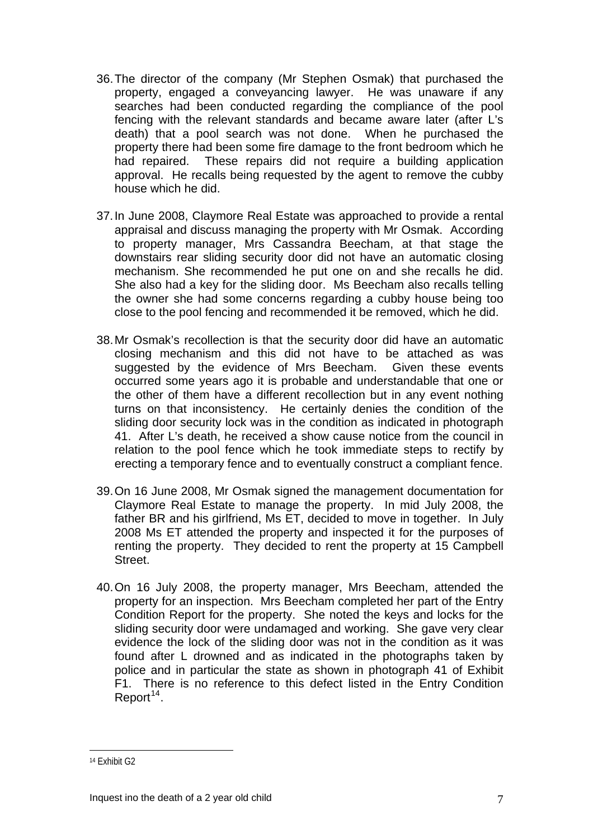- 36. The director of the company (Mr Stephen Osmak) that purchased the property, engaged a conveyancing lawyer. He was unaware if any searches had been conducted regarding the compliance of the pool fencing with the relevant standards and became aware later (after L's death) that a pool search was not done. When he purchased the property there had been some fire damage to the front bedroom which he had repaired. These repairs did not require a building application approval. He recalls being requested by the agent to remove the cubby house which he did.
- 37. In June 2008, Claymore Real Estate was approached to provide a rental appraisal and discuss managing the property with Mr Osmak. According to property manager, Mrs Cassandra Beecham, at that stage the downstairs rear sliding security door did not have an automatic closing mechanism. She recommended he put one on and she recalls he did. She also had a key for the sliding door. Ms Beecham also recalls telling the owner she had some concerns regarding a cubby house being too close to the pool fencing and recommended it be removed, which he did.
- 38. Mr Osmak's recollection is that the security door did have an automatic closing mechanism and this did not have to be attached as was suggested by the evidence of Mrs Beecham. Given these events occurred some years ago it is probable and understandable that one or the other of them have a different recollection but in any event nothing turns on that inconsistency. He certainly denies the condition of the sliding door security lock was in the condition as indicated in photograph 41. After L's death, he received a show cause notice from the council in relation to the pool fence which he took immediate steps to rectify by erecting a temporary fence and to eventually construct a compliant fence.
- 39. On 16 June 2008, Mr Osmak signed the management documentation for Claymore Real Estate to manage the property. In mid July 2008, the father BR and his girlfriend, Ms ET, decided to move in together. In July 2008 Ms ET attended the property and inspected it for the purposes of renting the property. They decided to rent the property at 15 Campbell Street.
- 40. On 16 July 2008, the property manager, Mrs Beecham, attended the property for an inspection. Mrs Beecham completed her part of the Entry Condition Report for the property. She noted the keys and locks for the sliding security door were undamaged and working. She gave very clear evidence the lock of the sliding door was not in the condition as it was found after L drowned and as indicated in the photographs taken by police and in particular the state as shown in photograph 41 of Exhibit F1. There is no reference to this defect listed in the Entry Condition Report<sup>[14](#page-7-0)</sup>.

<span id="page-7-0"></span><sup>14</sup> Exhibit G2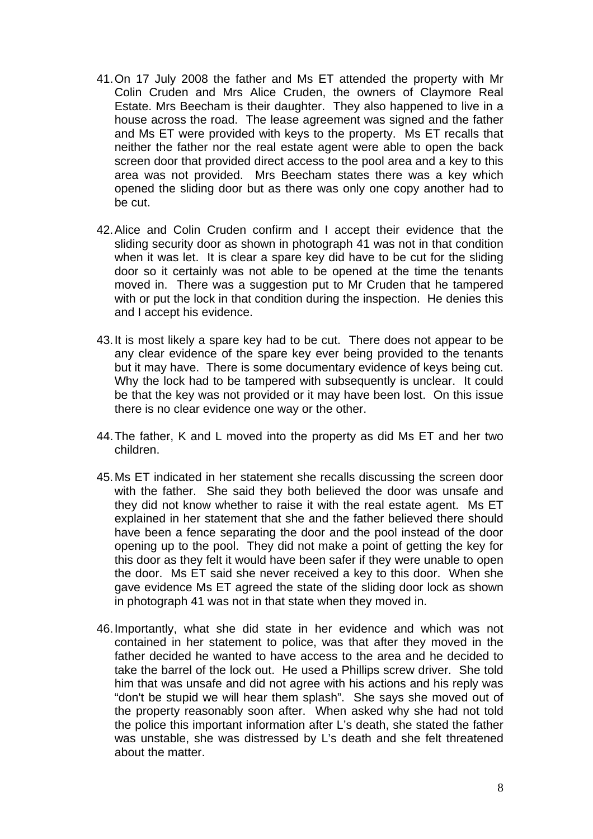- 41. On 17 July 2008 the father and Ms ET attended the property with Mr Colin Cruden and Mrs Alice Cruden, the owners of Claymore Real Estate. Mrs Beecham is their daughter. They also happened to live in a house across the road. The lease agreement was signed and the father and Ms ET were provided with keys to the property. Ms ET recalls that neither the father nor the real estate agent were able to open the back screen door that provided direct access to the pool area and a key to this area was not provided. Mrs Beecham states there was a key which opened the sliding door but as there was only one copy another had to be cut.
- 42. Alice and Colin Cruden confirm and I accept their evidence that the sliding security door as shown in photograph 41 was not in that condition when it was let. It is clear a spare key did have to be cut for the sliding door so it certainly was not able to be opened at the time the tenants moved in. There was a suggestion put to Mr Cruden that he tampered with or put the lock in that condition during the inspection. He denies this and I accept his evidence.
- 43. It is most likely a spare key had to be cut. There does not appear to be any clear evidence of the spare key ever being provided to the tenants but it may have. There is some documentary evidence of keys being cut. Why the lock had to be tampered with subsequently is unclear. It could be that the key was not provided or it may have been lost. On this issue there is no clear evidence one way or the other.
- 44. The father, K and L moved into the property as did Ms ET and her two children.
- 45. Ms ET indicated in her statement she recalls discussing the screen door with the father. She said they both believed the door was unsafe and they did not know whether to raise it with the real estate agent. Ms ET explained in her statement that she and the father believed there should have been a fence separating the door and the pool instead of the door opening up to the pool. They did not make a point of getting the key for this door as they felt it would have been safer if they were unable to open the door. Ms ET said she never received a key to this door. When she gave evidence Ms ET agreed the state of the sliding door lock as shown in photograph 41 was not in that state when they moved in.
- 46. Importantly, what she did state in her evidence and which was not contained in her statement to police, was that after they moved in the father decided he wanted to have access to the area and he decided to take the barrel of the lock out. He used a Phillips screw driver. She told him that was unsafe and did not agree with his actions and his reply was "don't be stupid we will hear them splash". She says she moved out of the property reasonably soon after. When asked why she had not told the police this important information after L's death, she stated the father was unstable, she was distressed by L's death and she felt threatened about the matter.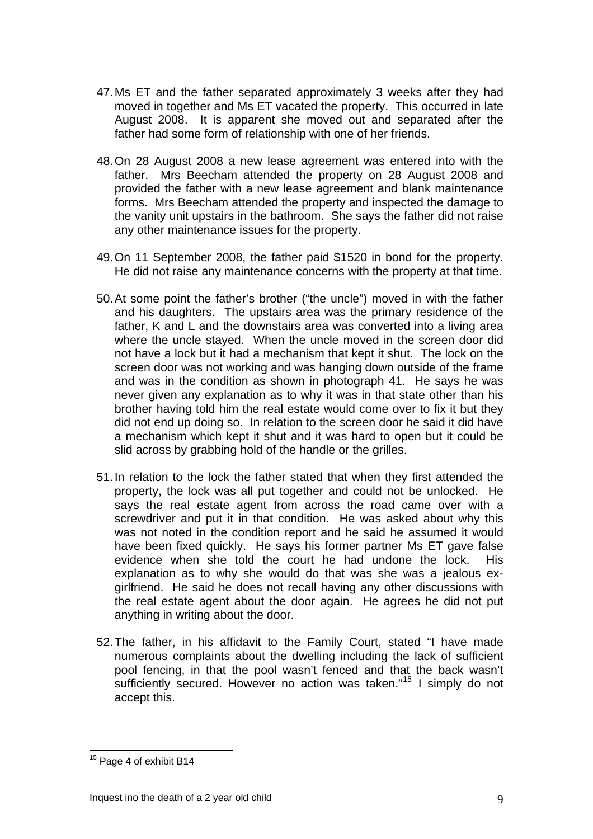- 47. Ms ET and the father separated approximately 3 weeks after they had moved in together and Ms ET vacated the property. This occurred in late August 2008. It is apparent she moved out and separated after the father had some form of relationship with one of her friends.
- 48. On 28 August 2008 a new lease agreement was entered into with the father. Mrs Beecham attended the property on 28 August 2008 and provided the father with a new lease agreement and blank maintenance forms. Mrs Beecham attended the property and inspected the damage to the vanity unit upstairs in the bathroom. She says the father did not raise any other maintenance issues for the property.
- 49. On 11 September 2008, the father paid \$1520 in bond for the property. He did not raise any maintenance concerns with the property at that time.
- 50. At some point the father's brother ("the uncle") moved in with the father and his daughters. The upstairs area was the primary residence of the father, K and L and the downstairs area was converted into a living area where the uncle stayed. When the uncle moved in the screen door did not have a lock but it had a mechanism that kept it shut. The lock on the screen door was not working and was hanging down outside of the frame and was in the condition as shown in photograph 41. He says he was never given any explanation as to why it was in that state other than his brother having told him the real estate would come over to fix it but they did not end up doing so. In relation to the screen door he said it did have a mechanism which kept it shut and it was hard to open but it could be slid across by grabbing hold of the handle or the grilles.
- 51. In relation to the lock the father stated that when they first attended the property, the lock was all put together and could not be unlocked. He says the real estate agent from across the road came over with a screwdriver and put it in that condition. He was asked about why this was not noted in the condition report and he said he assumed it would have been fixed quickly. He says his former partner Ms ET gave false evidence when she told the court he had undone the lock. His explanation as to why she would do that was she was a jealous exgirlfriend. He said he does not recall having any other discussions with the real estate agent about the door again. He agrees he did not put anything in writing about the door.
- 52. The father, in his affidavit to the Family Court, stated "I have made numerous complaints about the dwelling including the lack of sufficient pool fencing, in that the pool wasn't fenced and that the back wasn't sufficiently secured. However no action was taken."<sup>[15](#page-9-0)</sup> I simply do not accept this.

<span id="page-9-0"></span><sup>&</sup>lt;sup>15</sup> Page 4 of exhibit B14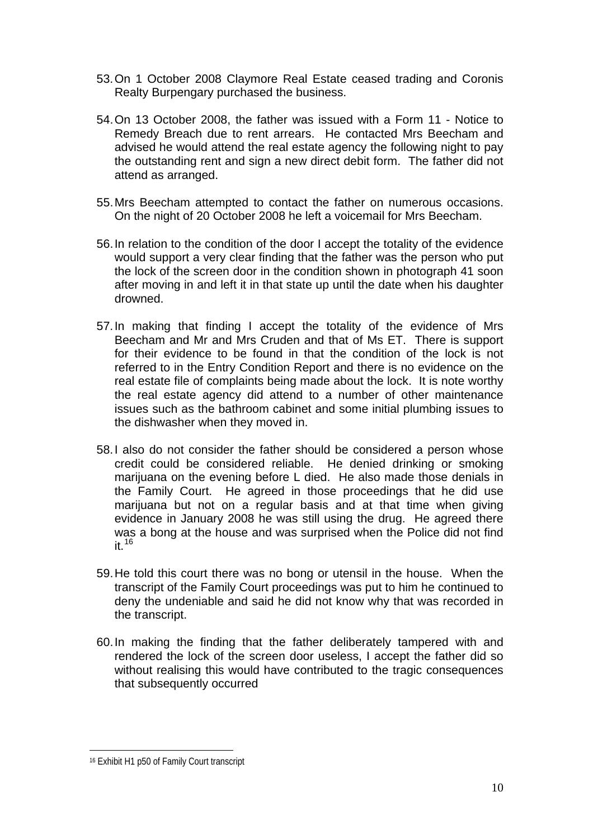- 53. On 1 October 2008 Claymore Real Estate ceased trading and Coronis Realty Burpengary purchased the business.
- 54. On 13 October 2008, the father was issued with a Form 11 Notice to Remedy Breach due to rent arrears. He contacted Mrs Beecham and advised he would attend the real estate agency the following night to pay the outstanding rent and sign a new direct debit form. The father did not attend as arranged.
- 55. Mrs Beecham attempted to contact the father on numerous occasions. On the night of 20 October 2008 he left a voicemail for Mrs Beecham.
- 56. In relation to the condition of the door I accept the totality of the evidence would support a very clear finding that the father was the person who put the lock of the screen door in the condition shown in photograph 41 soon after moving in and left it in that state up until the date when his daughter drowned.
- 57. In making that finding I accept the totality of the evidence of Mrs Beecham and Mr and Mrs Cruden and that of Ms ET. There is support for their evidence to be found in that the condition of the lock is not referred to in the Entry Condition Report and there is no evidence on the real estate file of complaints being made about the lock. It is note worthy the real estate agency did attend to a number of other maintenance issues such as the bathroom cabinet and some initial plumbing issues to the dishwasher when they moved in.
- 58. I also do not consider the father should be considered a person whose credit could be considered reliable. He denied drinking or smoking marijuana on the evening before L died. He also made those denials in the Family Court. He agreed in those proceedings that he did use marijuana but not on a regular basis and at that time when giving evidence in January 2008 he was still using the drug. He agreed there was a bong at the house and was surprised when the Police did not find it.[16](#page-10-0)
- 59. He told this court there was no bong or utensil in the house. When the transcript of the Family Court proceedings was put to him he continued to deny the undeniable and said he did not know why that was recorded in the transcript.
- 60. In making the finding that the father deliberately tampered with and rendered the lock of the screen door useless, I accept the father did so without realising this would have contributed to the tragic consequences that subsequently occurred

<span id="page-10-0"></span><sup>16</sup> Exhibit H1 p50 of Family Court transcript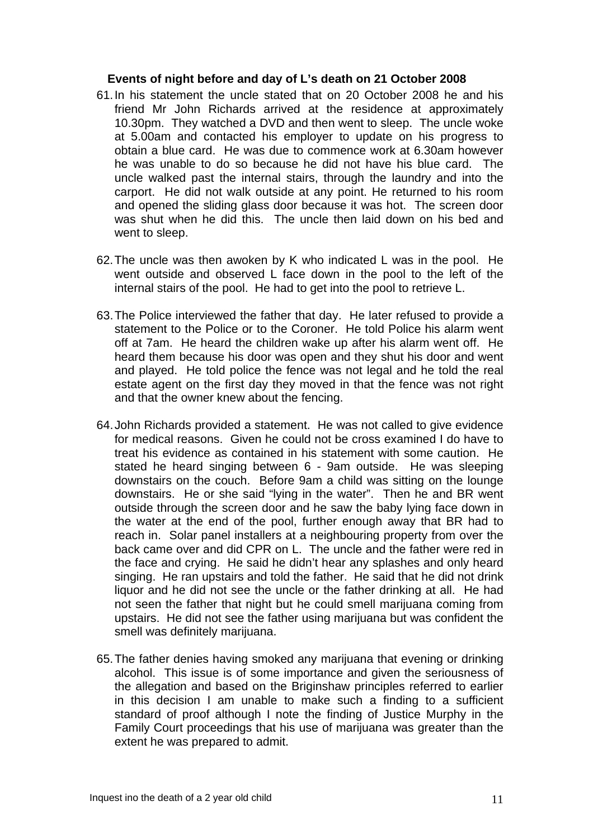#### **Events of night before and day of L's death on 21 October 2008**

- 61. In his statement the uncle stated that on 20 October 2008 he and his friend Mr John Richards arrived at the residence at approximately 10.30pm. They watched a DVD and then went to sleep. The uncle woke at 5.00am and contacted his employer to update on his progress to obtain a blue card. He was due to commence work at 6.30am however he was unable to do so because he did not have his blue card. The uncle walked past the internal stairs, through the laundry and into the carport. He did not walk outside at any point. He returned to his room and opened the sliding glass door because it was hot. The screen door was shut when he did this. The uncle then laid down on his bed and went to sleep.
- 62. The uncle was then awoken by K who indicated L was in the pool. He went outside and observed L face down in the pool to the left of the internal stairs of the pool. He had to get into the pool to retrieve L.
- 63. The Police interviewed the father that day. He later refused to provide a statement to the Police or to the Coroner. He told Police his alarm went off at 7am. He heard the children wake up after his alarm went off. He heard them because his door was open and they shut his door and went and played. He told police the fence was not legal and he told the real estate agent on the first day they moved in that the fence was not right and that the owner knew about the fencing.
- 64. John Richards provided a statement. He was not called to give evidence for medical reasons. Given he could not be cross examined I do have to treat his evidence as contained in his statement with some caution. He stated he heard singing between 6 - 9am outside. He was sleeping downstairs on the couch. Before 9am a child was sitting on the lounge downstairs. He or she said "lying in the water". Then he and BR went outside through the screen door and he saw the baby lying face down in the water at the end of the pool, further enough away that BR had to reach in. Solar panel installers at a neighbouring property from over the back came over and did CPR on L. The uncle and the father were red in the face and crying. He said he didn't hear any splashes and only heard singing. He ran upstairs and told the father. He said that he did not drink liquor and he did not see the uncle or the father drinking at all. He had not seen the father that night but he could smell marijuana coming from upstairs. He did not see the father using marijuana but was confident the smell was definitely marijuana.
- 65. The father denies having smoked any marijuana that evening or drinking alcohol. This issue is of some importance and given the seriousness of the allegation and based on the Briginshaw principles referred to earlier in this decision I am unable to make such a finding to a sufficient standard of proof although I note the finding of Justice Murphy in the Family Court proceedings that his use of marijuana was greater than the extent he was prepared to admit.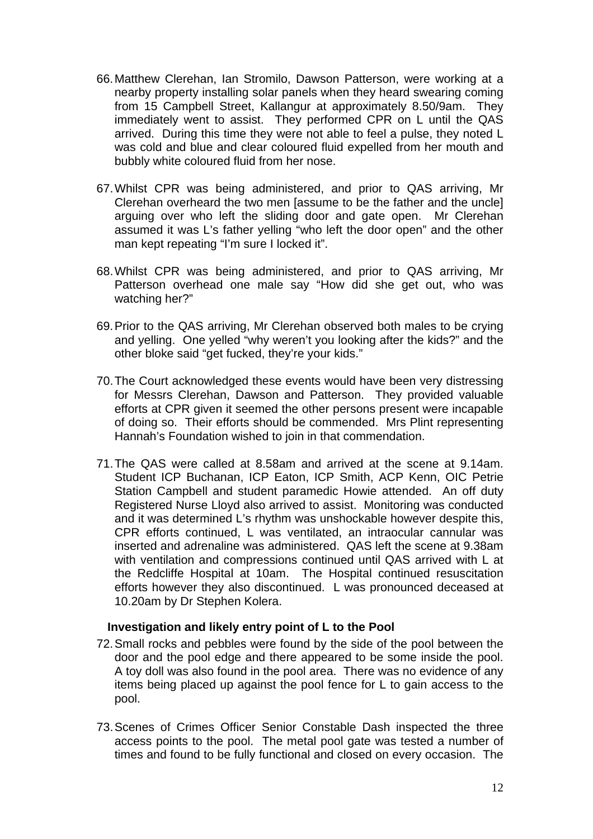- 66. Matthew Clerehan, Ian Stromilo, Dawson Patterson, were working at a nearby property installing solar panels when they heard swearing coming from 15 Campbell Street, Kallangur at approximately 8.50/9am. They immediately went to assist. They performed CPR on L until the QAS arrived. During this time they were not able to feel a pulse, they noted L was cold and blue and clear coloured fluid expelled from her mouth and bubbly white coloured fluid from her nose.
- 67. Whilst CPR was being administered, and prior to QAS arriving, Mr Clerehan overheard the two men [assume to be the father and the uncle] arguing over who left the sliding door and gate open. Mr Clerehan assumed it was L's father yelling "who left the door open" and the other man kept repeating "I'm sure I locked it".
- 68. Whilst CPR was being administered, and prior to QAS arriving, Mr Patterson overhead one male say "How did she get out, who was watching her?"
- 69. Prior to the QAS arriving, Mr Clerehan observed both males to be crying and yelling. One yelled "why weren't you looking after the kids?" and the other bloke said "get fucked, they're your kids."
- 70. The Court acknowledged these events would have been very distressing for Messrs Clerehan, Dawson and Patterson. They provided valuable efforts at CPR given it seemed the other persons present were incapable of doing so. Their efforts should be commended. Mrs Plint representing Hannah's Foundation wished to join in that commendation.
- 71. The QAS were called at 8.58am and arrived at the scene at 9.14am. Student ICP Buchanan, ICP Eaton, ICP Smith, ACP Kenn, OIC Petrie Station Campbell and student paramedic Howie attended. An off duty Registered Nurse Lloyd also arrived to assist. Monitoring was conducted and it was determined L's rhythm was unshockable however despite this, CPR efforts continued, L was ventilated, an intraocular cannular was inserted and adrenaline was administered. QAS left the scene at 9.38am with ventilation and compressions continued until QAS arrived with L at the Redcliffe Hospital at 10am. The Hospital continued resuscitation efforts however they also discontinued. L was pronounced deceased at 10.20am by Dr Stephen Kolera.

#### **Investigation and likely entry point of L to the Pool**

- 72. Small rocks and pebbles were found by the side of the pool between the door and the pool edge and there appeared to be some inside the pool. A toy doll was also found in the pool area. There was no evidence of any items being placed up against the pool fence for L to gain access to the pool.
- 73. Scenes of Crimes Officer Senior Constable Dash inspected the three access points to the pool. The metal pool gate was tested a number of times and found to be fully functional and closed on every occasion. The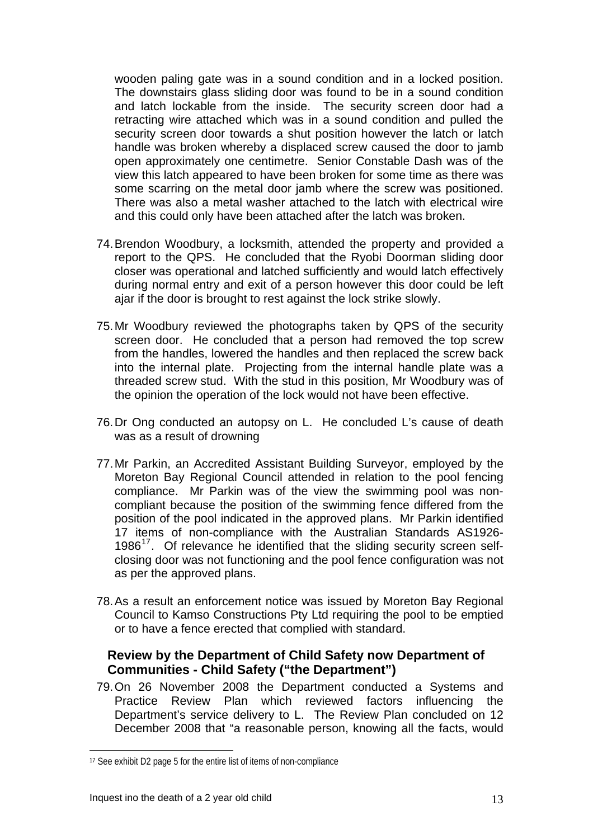wooden paling gate was in a sound condition and in a locked position. The downstairs glass sliding door was found to be in a sound condition and latch lockable from the inside. The security screen door had a retracting wire attached which was in a sound condition and pulled the security screen door towards a shut position however the latch or latch handle was broken whereby a displaced screw caused the door to jamb open approximately one centimetre. Senior Constable Dash was of the view this latch appeared to have been broken for some time as there was some scarring on the metal door jamb where the screw was positioned. There was also a metal washer attached to the latch with electrical wire and this could only have been attached after the latch was broken.

- 74. Brendon Woodbury, a locksmith, attended the property and provided a report to the QPS. He concluded that the Ryobi Doorman sliding door closer was operational and latched sufficiently and would latch effectively during normal entry and exit of a person however this door could be left ajar if the door is brought to rest against the lock strike slowly.
- 75. Mr Woodbury reviewed the photographs taken by QPS of the security screen door. He concluded that a person had removed the top screw from the handles, lowered the handles and then replaced the screw back into the internal plate. Projecting from the internal handle plate was a threaded screw stud. With the stud in this position, Mr Woodbury was of the opinion the operation of the lock would not have been effective.
- 76. Dr Ong conducted an autopsy on L. He concluded L's cause of death was as a result of drowning
- 77. Mr Parkin, an Accredited Assistant Building Surveyor, employed by the Moreton Bay Regional Council attended in relation to the pool fencing compliance. Mr Parkin was of the view the swimming pool was noncompliant because the position of the swimming fence differed from the position of the pool indicated in the approved plans. Mr Parkin identified 17 items of non-compliance with the Australian Standards AS1926- 1986 $17$ . Of relevance he identified that the sliding security screen selfclosing door was not functioning and the pool fence configuration was not as per the approved plans.
- 78. As a result an enforcement notice was issued by Moreton Bay Regional Council to Kamso Constructions Pty Ltd requiring the pool to be emptied or to have a fence erected that complied with standard.

### **Review by the Department of Child Safety now Department of Communities - Child Safety ("the Department")**

79. On 26 November 2008 the Department conducted a Systems and Practice Review Plan which reviewed factors influencing the Department's service delivery to L. The Review Plan concluded on 12 December 2008 that "a reasonable person, knowing all the facts, would

<span id="page-13-0"></span><sup>17</sup> See exhibit D2 page 5 for the entire list of items of non-compliance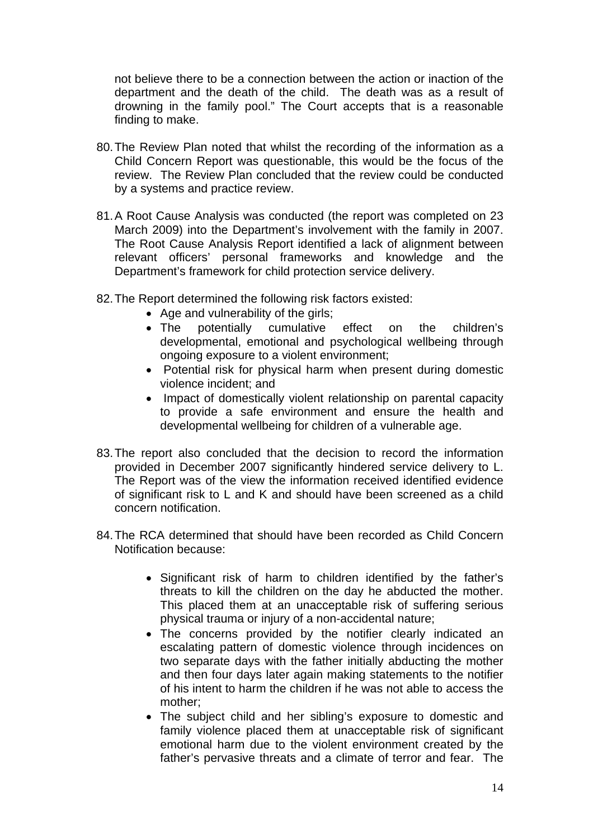not believe there to be a connection between the action or inaction of the department and the death of the child. The death was as a result of drowning in the family pool." The Court accepts that is a reasonable finding to make.

- 80. The Review Plan noted that whilst the recording of the information as a Child Concern Report was questionable, this would be the focus of the review. The Review Plan concluded that the review could be conducted by a systems and practice review.
- 81. A Root Cause Analysis was conducted (the report was completed on 23 March 2009) into the Department's involvement with the family in 2007. The Root Cause Analysis Report identified a lack of alignment between relevant officers' personal frameworks and knowledge and the Department's framework for child protection service delivery.
- 82. The Report determined the following risk factors existed:
	- Age and vulnerability of the girls;
	- The potentially cumulative effect on the children's developmental, emotional and psychological wellbeing through ongoing exposure to a violent environment;
	- Potential risk for physical harm when present during domestic violence incident; and
	- Impact of domestically violent relationship on parental capacity to provide a safe environment and ensure the health and developmental wellbeing for children of a vulnerable age.
- 83. The report also concluded that the decision to record the information provided in December 2007 significantly hindered service delivery to L. The Report was of the view the information received identified evidence of significant risk to L and K and should have been screened as a child concern notification.
- 84. The RCA determined that should have been recorded as Child Concern Notification because:
	- Significant risk of harm to children identified by the father's threats to kill the children on the day he abducted the mother. This placed them at an unacceptable risk of suffering serious physical trauma or injury of a non-accidental nature;
	- The concerns provided by the notifier clearly indicated an escalating pattern of domestic violence through incidences on two separate days with the father initially abducting the mother and then four days later again making statements to the notifier of his intent to harm the children if he was not able to access the mother;
	- The subject child and her sibling's exposure to domestic and family violence placed them at unacceptable risk of significant emotional harm due to the violent environment created by the father's pervasive threats and a climate of terror and fear. The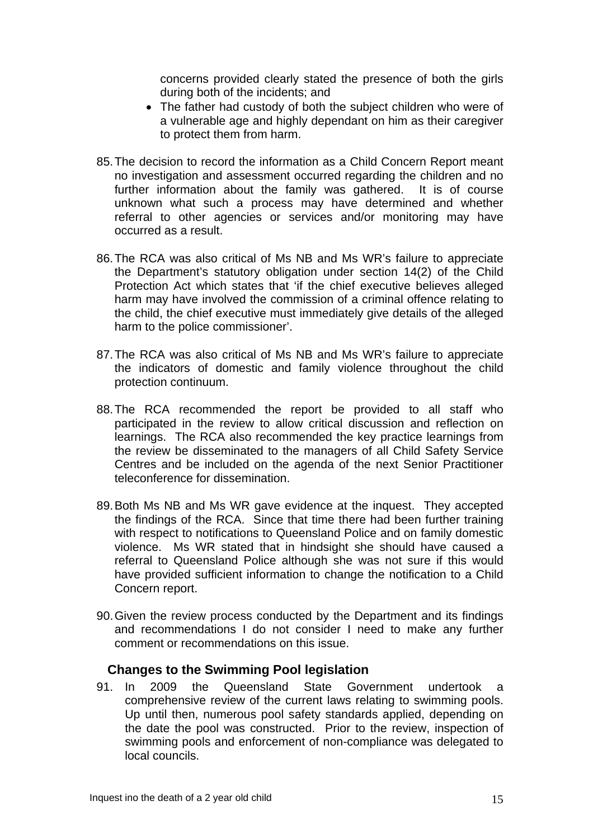concerns provided clearly stated the presence of both the girls during both of the incidents; and

- The father had custody of both the subject children who were of a vulnerable age and highly dependant on him as their caregiver to protect them from harm.
- 85. The decision to record the information as a Child Concern Report meant no investigation and assessment occurred regarding the children and no further information about the family was gathered. It is of course unknown what such a process may have determined and whether referral to other agencies or services and/or monitoring may have occurred as a result.
- 86. The RCA was also critical of Ms NB and Ms WR's failure to appreciate the Department's statutory obligation under section 14(2) of the Child Protection Act which states that 'if the chief executive believes alleged harm may have involved the commission of a criminal offence relating to the child, the chief executive must immediately give details of the alleged harm to the police commissioner'.
- 87. The RCA was also critical of Ms NB and Ms WR's failure to appreciate the indicators of domestic and family violence throughout the child protection continuum.
- 88. The RCA recommended the report be provided to all staff who participated in the review to allow critical discussion and reflection on learnings. The RCA also recommended the key practice learnings from the review be disseminated to the managers of all Child Safety Service Centres and be included on the agenda of the next Senior Practitioner teleconference for dissemination.
- 89. Both Ms NB and Ms WR gave evidence at the inquest. They accepted the findings of the RCA. Since that time there had been further training with respect to notifications to Queensland Police and on family domestic violence. Ms WR stated that in hindsight she should have caused a referral to Queensland Police although she was not sure if this would have provided sufficient information to change the notification to a Child Concern report.
- 90. Given the review process conducted by the Department and its findings and recommendations I do not consider I need to make any further comment or recommendations on this issue.

## **Changes to the Swimming Pool legislation**

91. In 2009 the Queensland State Government undertook a comprehensive review of the current laws relating to swimming pools. Up until then, numerous pool safety standards applied, depending on the date the pool was constructed. Prior to the review, inspection of swimming pools and enforcement of non-compliance was delegated to local councils.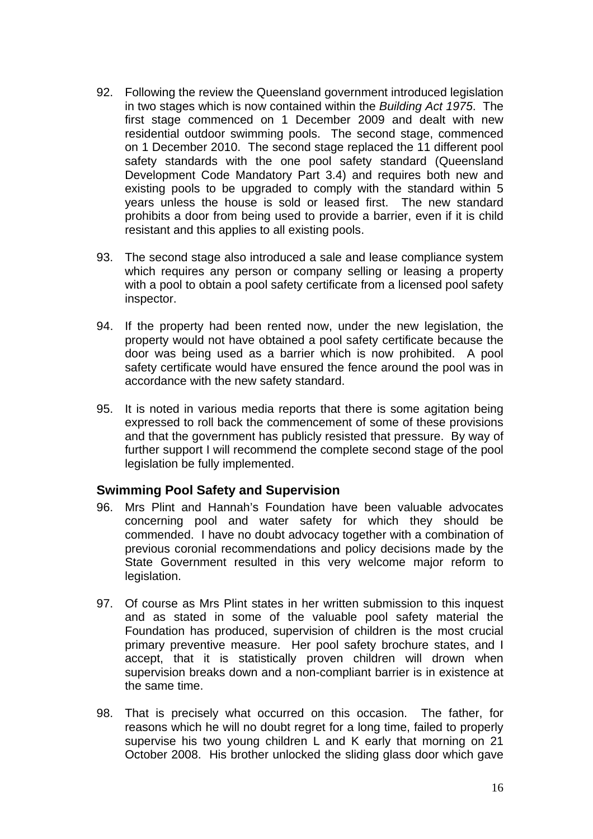- 92. Following the review the Queensland government introduced legislation in two stages which is now contained within the *Building Act 1975*. The first stage commenced on 1 December 2009 and dealt with new residential outdoor swimming pools. The second stage, commenced on 1 December 2010. The second stage replaced the 11 different pool safety standards with the one pool safety standard (Queensland Development Code Mandatory Part 3.4) and requires both new and existing pools to be upgraded to comply with the standard within 5 years unless the house is sold or leased first. The new standard prohibits a door from being used to provide a barrier, even if it is child resistant and this applies to all existing pools.
- 93. The second stage also introduced a sale and lease compliance system which requires any person or company selling or leasing a property with a pool to obtain a pool safety certificate from a licensed pool safety inspector.
- 94. If the property had been rented now, under the new legislation, the property would not have obtained a pool safety certificate because the door was being used as a barrier which is now prohibited. A pool safety certificate would have ensured the fence around the pool was in accordance with the new safety standard.
- 95. It is noted in various media reports that there is some agitation being expressed to roll back the commencement of some of these provisions and that the government has publicly resisted that pressure. By way of further support I will recommend the complete second stage of the pool legislation be fully implemented.

#### **Swimming Pool Safety and Supervision**

- 96. Mrs Plint and Hannah's Foundation have been valuable advocates concerning pool and water safety for which they should be commended. I have no doubt advocacy together with a combination of previous coronial recommendations and policy decisions made by the State Government resulted in this very welcome major reform to legislation.
- 97. Of course as Mrs Plint states in her written submission to this inquest and as stated in some of the valuable pool safety material the Foundation has produced, supervision of children is the most crucial primary preventive measure. Her pool safety brochure states, and I accept, that it is statistically proven children will drown when supervision breaks down and a non-compliant barrier is in existence at the same time.
- 98. That is precisely what occurred on this occasion. The father, for reasons which he will no doubt regret for a long time, failed to properly supervise his two young children L and K early that morning on 21 October 2008. His brother unlocked the sliding glass door which gave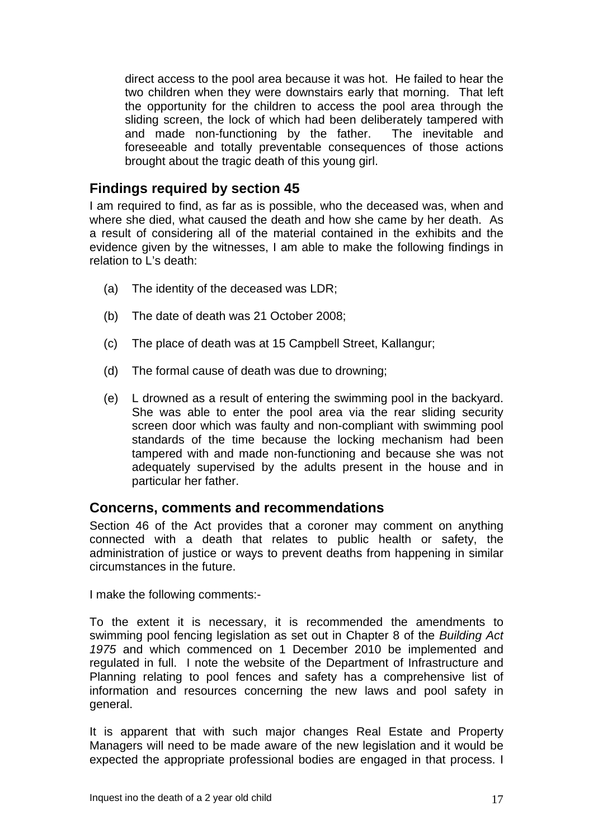direct access to the pool area because it was hot. He failed to hear the two children when they were downstairs early that morning. That left the opportunity for the children to access the pool area through the sliding screen, the lock of which had been deliberately tampered with and made non-functioning by the father. The inevitable and foreseeable and totally preventable consequences of those actions brought about the tragic death of this young girl.

## **Findings required by section 45**

I am required to find, as far as is possible, who the deceased was, when and where she died, what caused the death and how she came by her death. As a result of considering all of the material contained in the exhibits and the evidence given by the witnesses, I am able to make the following findings in relation to L's death:

- (a) The identity of the deceased was LDR;
- (b) The date of death was 21 October 2008;
- (c) The place of death was at 15 Campbell Street, Kallangur;
- (d) The formal cause of death was due to drowning;
- (e) L drowned as a result of entering the swimming pool in the backyard. She was able to enter the pool area via the rear sliding security screen door which was faulty and non-compliant with swimming pool standards of the time because the locking mechanism had been tampered with and made non-functioning and because she was not adequately supervised by the adults present in the house and in particular her father.

## **Concerns, comments and recommendations**

Section 46 of the Act provides that a coroner may comment on anything connected with a death that relates to public health or safety, the administration of justice or ways to prevent deaths from happening in similar circumstances in the future.

I make the following comments:-

To the extent it is necessary, it is recommended the amendments to swimming pool fencing legislation as set out in Chapter 8 of the *Building Act 1975* and which commenced on 1 December 2010 be implemented and regulated in full. I note the website of the Department of Infrastructure and Planning relating to pool fences and safety has a comprehensive list of information and resources concerning the new laws and pool safety in general.

It is apparent that with such major changes Real Estate and Property Managers will need to be made aware of the new legislation and it would be expected the appropriate professional bodies are engaged in that process. I